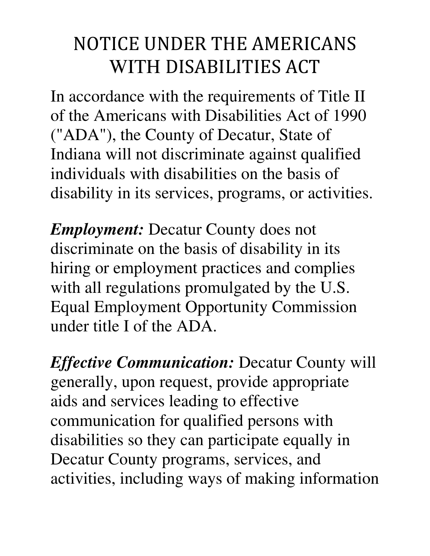## NOTICE UNDER THE AMERICANS WITH DISABILITIES ACT

In accordance with the requirements of Title II of the Americans with Disabilities Act of 1990 ("ADA"), the County of Decatur, State of Indiana will not discriminate against qualified individuals with disabilities on the basis of disability in its services, programs, or activities.

*Employment:* Decatur County does not discriminate on the basis of disability in its hiring or employment practices and complies with all regulations promulgated by the U.S. Equal Employment Opportunity Commission under title I of the ADA.

*Effective Communication:* Decatur County will generally, upon request, provide appropriate aids and services leading to effective communication for qualified persons with disabilities so they can participate equally in Decatur County programs, services, and activities, including ways of making information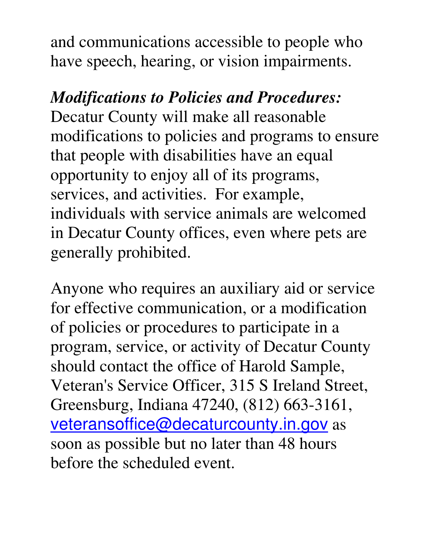and communications accessible to people who have speech, hearing, or vision impairments.

*Modifications to Policies and Procedures:* Decatur County will make all reasonable modifications to policies and programs to ensure that people with disabilities have an equal opportunity to enjoy all of its programs, services, and activities. For example, individuals with service animals are welcomed in Decatur County offices, even where pets are generally prohibited.

Anyone who requires an auxiliary aid or service for effective communication, or a modification of policies or procedures to participate in a program, service, or activity of Decatur County should contact the office of Harold Sample, Veteran's Service Officer, 315 S Ireland Street, Greensburg, Indiana 47240, (812) 663-3161, veteransoffice@decaturcounty.in.gov as soon as possible but no later than 48 hours before the scheduled event.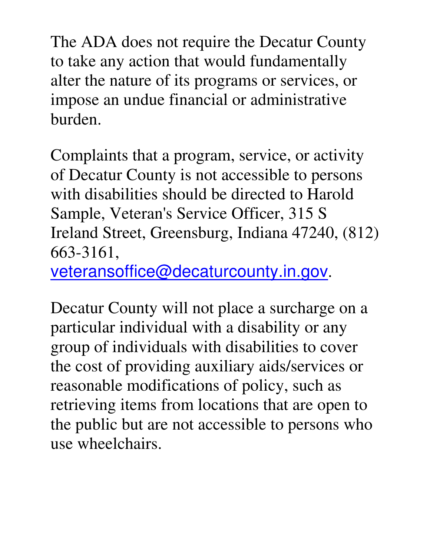The ADA does not require the Decatur County to take any action that would fundamentally alter the nature of its programs or services, or impose an undue financial or administrative burden.

Complaints that a program, service, or activity of Decatur County is not accessible to persons with disabilities should be directed to Harold Sample, Veteran's Service Officer, 315 S Ireland Street, Greensburg, Indiana 47240, (812) 663-3161,

veteransoffice@decaturcounty.in.gov.

Decatur County will not place a surcharge on a particular individual with a disability or any group of individuals with disabilities to cover the cost of providing auxiliary aids/services or reasonable modifications of policy, such as retrieving items from locations that are open to the public but are not accessible to persons who use wheelchairs.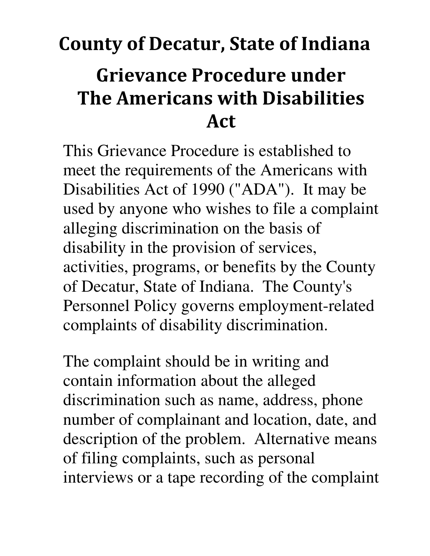## County of Decatur, State of Indiana Grievance Procedure under The Americans with Disabilities Act

This Grievance Procedure is established to meet the requirements of the Americans with Disabilities Act of 1990 ("ADA"). It may be used by anyone who wishes to file a complaint alleging discrimination on the basis of disability in the provision of services, activities, programs, or benefits by the County of Decatur, State of Indiana. The County's Personnel Policy governs employment-related complaints of disability discrimination.

The complaint should be in writing and contain information about the alleged discrimination such as name, address, phone number of complainant and location, date, and description of the problem. Alternative means of filing complaints, such as personal interviews or a tape recording of the complaint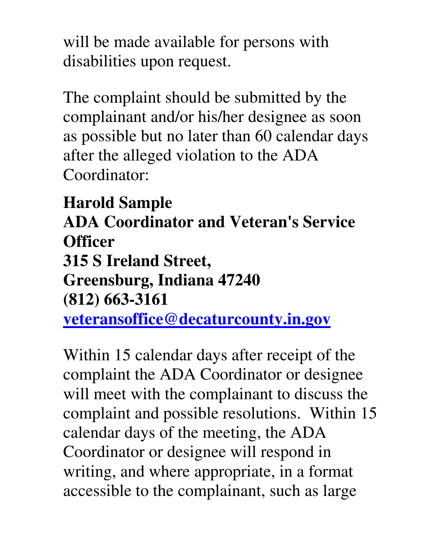will be made available for persons with disabilities upon request.

The complaint should be submitted by the complainant and/or his/her designee as soon as possible but no later than 60 calendar days after the alleged violation to the ADA Coordinator:

**Harold Sample ADA Coordinator and Veteran's Service Officer 315 S Ireland Street, Greensburg, Indiana 47240 (812) 663-3161** 

**veteransoffice@decaturcounty.in.gov**

Within 15 calendar days after receipt of the complaint the ADA Coordinator or designee will meet with the complainant to discuss the complaint and possible resolutions. Within 15 calendar days of the meeting, the ADA Coordinator or designee will respond in writing, and where appropriate, in a format accessible to the complainant, such as large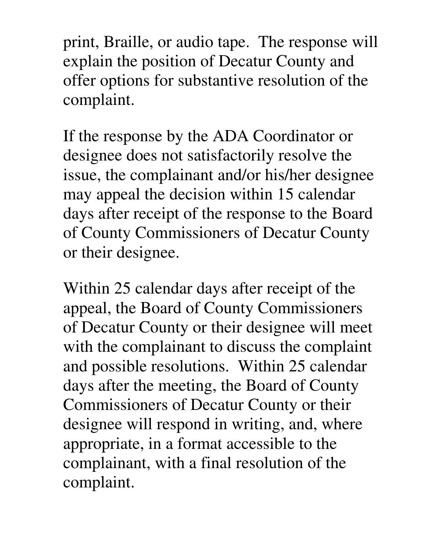print, Braille, or audio tape. The response will explain the position of Decatur County and offer options for substantive resolution of the complaint.

If the response by the ADA Coordinator or designee does not satisfactorily resolve the issue, the complainant and/or his/her designee may appeal the decision within 15 calendar days after receipt of the response to the Board of County Commissioners of Decatur County or their designee.

Within 25 calendar days after receipt of the appeal, the Board of County Commissioners of Decatur County or their designee will meet with the complainant to discuss the complaint and possible resolutions. Within 25 calendar days after the meeting, the Board of County Commissioners of Decatur County or their designee will respond in writing, and, where appropriate, in a format accessible to the complainant, with a final resolution of the complaint.